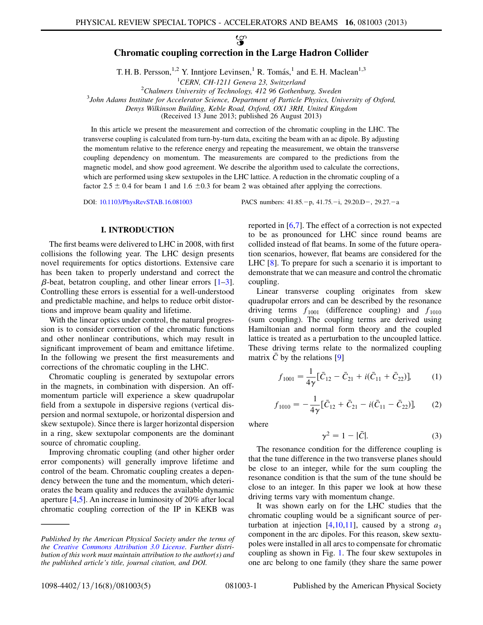လ္စာ

# Chromatic coupling correction in the Large Hadron Collider

T. H. B. Persson,<sup>1,2</sup> Y. Inntjore Levinsen,<sup>1</sup> R. Tomás,<sup>1</sup> and E. H. Maclean<sup>1,3</sup>

<sup>1</sup>CERN, CH-1211 Geneva 23, Switzerland <sup>1</sup>CERN, CH-1211 Geneva 23, Switzerland<br><sup>2</sup>Chalmers University of Technology 412.96 Gothanh

<sup>2</sup>Chalmers University of Technology, 412 96 Gothenburg, Sweden<sup>3</sup> John Adams Institute for Accelerator Science, Department of Particle Physics, Uni

<sup>3</sup>John Adams Institute for Accelerator Science, Department of Particle Physics, University of Oxford,

Denys Wilkinson Building, Keble Road, Oxford, OX1 3RH, United Kingdom

(Received 13 June 2013; published 26 August 2013)

In this article we present the measurement and correction of the chromatic coupling in the LHC. The transverse coupling is calculated from turn-by-turn data, exciting the beam with an ac dipole. By adjusting the momentum relative to the reference energy and repeating the measurement, we obtain the transverse coupling dependency on momentum. The measurements are compared to the predictions from the magnetic model, and show good agreement. We describe the algorithm used to calculate the corrections, which are performed using skew sextupoles in the LHC lattice. A reduction in the chromatic coupling of a factor 2.5  $\pm$  0.4 for beam 1 and 1.6  $\pm$ 0.3 for beam 2 was obtained after applying the corrections.

DOI: [10.1103/PhysRevSTAB.16.081003](http://dx.doi.org/10.1103/PhysRevSTAB.16.081003)

p, 41.75.-i, 29.20.D-, 29.27.-a

## I. INTRODUCTION

The first beams were delivered to LHC in 2008, with first collisions the following year. The LHC design presents novel requirements for optics distortions. Extensive care has been taken to properly understand and correct the  $\beta$ -beat, betatron coupling, and other linear errors [\[1](#page-4-0)–[3\]](#page-4-1). Controlling these errors is essential for a well-understood and predictable machine, and helps to reduce orbit distortions and improve beam quality and lifetime.

With the linear optics under control, the natural progression is to consider correction of the chromatic functions and other nonlinear contributions, which may result in significant improvement of beam and emittance lifetime. In the following we present the first measurements and corrections of the chromatic coupling in the LHC.

Chromatic coupling is generated by sextupolar errors in the magnets, in combination with dispersion. An offmomentum particle will experience a skew quadrupolar field from a sextupole in dispersive regions (vertical dispersion and normal sextupole, or horizontal dispersion and skew sextupole). Since there is larger horizontal dispersion in a ring, skew sextupolar components are the dominant source of chromatic coupling.

Improving chromatic coupling (and other higher order error components) will generally improve lifetime and control of the beam. Chromatic coupling creates a dependency between the tune and the momentum, which deteriorates the beam quality and reduces the available dynamic aperture [\[4](#page-4-2),[5](#page-4-3)]. An increase in luminosity of 20% after local chromatic coupling correction of the IP in KEKB was reported in [[6,](#page-4-4)[7\]](#page-4-5). The effect of a correction is not expected to be as pronounced for LHC since round beams are collided instead of flat beams. In some of the future operation scenarios, however, flat beams are considered for the LHC [\[8\]](#page-4-6). To prepare for such a scenario it is important to demonstrate that we can measure and control the chromatic coupling.

Linear transverse coupling originates from skew quadrupolar errors and can be described by the resonance driving terms  $f_{1001}$  (difference coupling) and  $f_{1010}$ (sum coupling). The coupling terms are derived using Hamiltonian and normal form theory and the coupled lattice is treated as a perturbation to the uncoupled lattice. These driving terms relate to the normalized coupling matrix  $\bar{C}$  by the relations [[9\]](#page-4-7)

$$
f_{1001} = \frac{1}{4\gamma} [\bar{C}_{12} - \bar{C}_{21} + i(\bar{C}_{11} + \bar{C}_{22})],
$$
 (1)

$$
f_{1010} = -\frac{1}{4\gamma} [\bar{C}_{12} + \bar{C}_{21} - i(\bar{C}_{11} - \bar{C}_{22})],
$$
 (2)

where

$$
\gamma^2 = 1 - |\bar{C}|.\tag{3}
$$

The resonance condition for the difference coupling is that the tune difference in the two transverse planes should be close to an integer, while for the sum coupling the resonance condition is that the sum of the tune should be close to an integer. In this paper we look at how these driving terms vary with momentum change.

It was shown early on for the LHC studies that the chromatic coupling would be a significant source of per-turbation at injection [[4](#page-4-2)[,10](#page-4-8)[,11\]](#page-4-9), caused by a strong  $a_3$ component in the arc dipoles. For this reason, skew sextupoles were installed in all arcs to compensate for chromatic coupling as shown in Fig. [1.](#page-1-0) The four skew sextupoles in one arc belong to one family (they share the same power

Published by the American Physical Society under the terms of the [Creative Commons Attribution 3.0 License.](http://creativecommons.org/licenses/by/3.0/) Further distribution of this work must maintain attribution to the author(s) and the published article's title, journal citation, and DOI.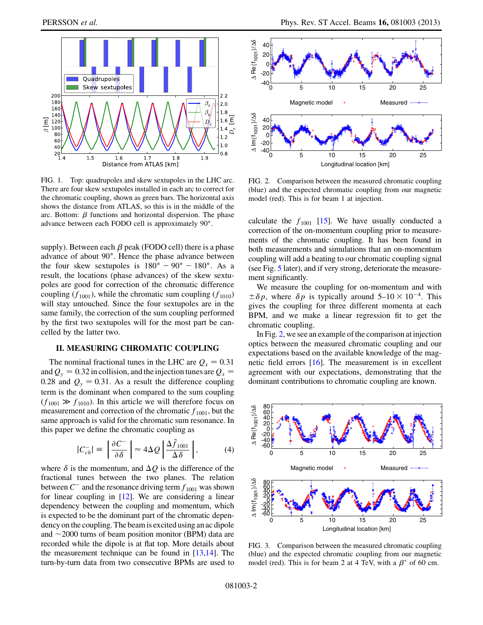<span id="page-1-0"></span>

FIG. 1. Top: quadrupoles and skew sextupoles in the LHC arc. There are four skew sextupoles installed in each arc to correct for the chromatic coupling, shown as green bars. The horizontal axis shows the distance from ATLAS, so this is in the middle of the arc. Bottom:  $\beta$  functions and horizontal dispersion. The phase advance between each FODO cell is approximately 90.

supply). Between each  $\beta$  peak (FODO cell) there is a phase advance of about 90°. Hence the phase advance between the four skew sextupoles is  $180^\circ - 90^\circ - 180^\circ$ . As a result, the locations (phase advances) of the skew sextupoles are good for correction of the chromatic difference coupling  $(f_{1001})$ , while the chromatic sum coupling  $(f_{1010})$ will stay untouched. Since the four sextupoles are in the same family, the correction of the sum coupling performed by the first two sextupoles will for the most part be cancelled by the latter two.

### II. MEASURING CHROMATIC COUPLING

The nominal fractional tunes in the LHC are  $Q_x = 0.31$ and  $Q_y = 0.32$  in collision, and the injection tunes are  $Q_x =$ 0.28 and  $Q_y = 0.31$ . As a result the difference coupling term is the dominant when compared to the sum coupling  $(f_{1001} \gg f_{1010})$ . In this article we will therefore focus on measurement and correction of the chromatic  $f_{1001}$ , but the same approach is valid for the chromatic sum resonance. In this paper we define the chromatic coupling as

$$
|C_{ch}^-| \equiv \left| \frac{\partial C^-}{\partial \delta} \right| \approx 4\Delta Q \left| \frac{\Delta \bar{f}_{1001}}{\Delta \delta} \right|, \tag{4}
$$

<span id="page-1-3"></span>where  $\delta$  is the momentum, and  $\Delta Q$  is the difference of the fractional tunes between the two planes. The relation between  $C^-$  and the resonance driving term  $f_{1001}$  was shown for linear coupling in [\[12](#page-4-10)]. We are considering a linear dependency between the coupling and momentum, which is expected to be the dominant part of the chromatic dependency on the coupling. The beam is excited using an ac dipole and  $\sim$  2000 turns of beam position monitor (BPM) data are recorded while the dipole is at flat top. More details about the measurement technique can be found in [[13](#page-4-11),[14\]](#page-4-12). The turn-by-turn data from two consecutive BPMs are used to

<span id="page-1-1"></span>

FIG. 2. Comparison between the measured chromatic coupling (blue) and the expected chromatic coupling from our magnetic model (red). This is for beam 1 at injection.

calculate the  $f_{1001}$  [\[15\]](#page-4-13). We have usually conducted a correction of the on-momentum coupling prior to measurements of the chromatic coupling. It has been found in both measurements and simulations that an on-momentum coupling will add a beating to our chromatic coupling signal (see Fig. [5](#page-2-0) later), and if very strong, deteriorate the measurement significantly.

We measure the coupling for on-momentum and with  $\pm \delta p$ , where  $\delta p$  is typically around  $5-10 \times 10^{-4}$ . This gives the coupling for three different momenta at each BPM, and we make a linear regression fit to get the chromatic coupling.

In Fig. [2,](#page-1-1) we see an example of the comparison at injection optics between the measured chromatic coupling and our expectations based on the available knowledge of the magnetic field errors [[16\]](#page-4-14). The measurement is in excellent agreement with our expectations, demonstrating that the dominant contributions to chromatic coupling are known.

<span id="page-1-2"></span>

FIG. 3. Comparison between the measured chromatic coupling (blue) and the expected chromatic coupling from our magnetic model (red). This is for beam 2 at 4 TeV, with a  $\beta^*$  of 60 cm.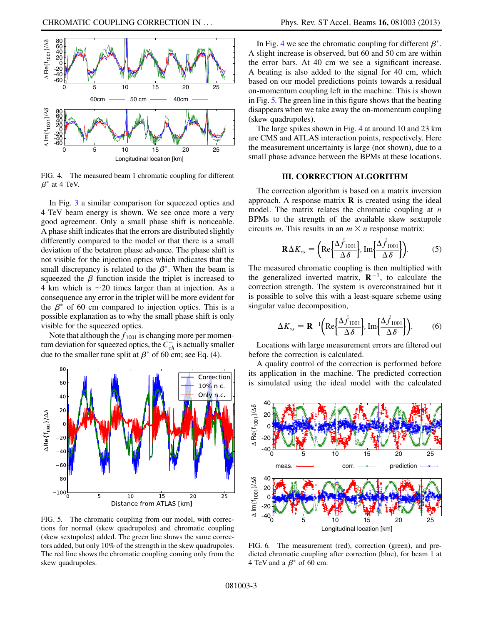<span id="page-2-1"></span>

FIG. 4. The measured beam 1 chromatic coupling for different  $\beta^*$  at 4 TeV.

In Fig. [3](#page-1-2) a similar comparison for squeezed optics and 4 TeV beam energy is shown. We see once more a very good agreement. Only a small phase shift is noticeable. A phase shift indicates that the errors are distributed slightly differently compared to the model or that there is a small deviation of the betatron phase advance. The phase shift is not visible for the injection optics which indicates that the small discrepancy is related to the  $\beta^*$ . When the beam is squeezed the  $\beta$  function inside the triplet is increased to 4 km which is  $\sim$  20 times larger than at injection. As a consequence any error in the triplet will be more evident for the  $\beta^*$  of 60 cm compared to injection optics. This is a possible explanation as to why the small phase shift is only visible for the squeezed optics.

Note that although the  $f_{1001}$  is changing more per momentum deviation for squeezed optics, the  $C_{ch}^-$  is actually smaller due to the smaller tune split at  $\beta^*$  of 60 cm; see Eq. [\(4](#page-1-3)).

<span id="page-2-0"></span>

FIG. 5. The chromatic coupling from our model, with corrections for normal (skew quadrupoles) and chromatic coupling (skew sextupoles) added. The green line shows the same correctors added, but only 10% of the strength in the skew quadrupoles. The red line shows the chromatic coupling coming only from the skew quadrupoles.

In Fig. [4](#page-2-1) we see the chromatic coupling for different  $\beta^*$ . A slight increase is observed, but 60 and 50 cm are within the error bars. At 40 cm we see a significant increase. A beating is also added to the signal for 40 cm, which based on our model predictions points towards a residual on-momentum coupling left in the machine. This is shown in Fig. [5.](#page-2-0) The green line in this figure shows that the beating disappears when we take away the on-momentum coupling (skew quadrupoles).

The large spikes shown in Fig. [4](#page-2-1) at around 10 and 23 km are CMS and ATLAS interaction points, respectively. Here the measurement uncertainty is large (not shown), due to a small phase advance between the BPMs at these locations.

## III. CORRECTION ALGORITHM

The correction algorithm is based on a matrix inversion approach. A response matrix  $\bf{R}$  is created using the ideal model. The matrix relates the chromatic coupling at  $n$ BPMs to the strength of the available skew sextupole circuits *m*. This results in an  $m \times n$  response matrix:

$$
\mathbf{R}\Delta K_{ss} = \left(\mathrm{Re}\left\{\frac{\Delta \vec{f}_{1001}}{\Delta \delta}\right\}, \mathrm{Im}\left\{\frac{\Delta \vec{f}_{1001}}{\Delta \delta}\right\}\right). \tag{5}
$$

The measured chromatic coupling is then multiplied with the generalized inverted matrix,  $\mathbf{R}^{-1}$ , to calculate the correction strength. The system is overconstrained but it is possible to solve this with a least-square scheme using singular value decomposition,

$$
\Delta K_{ss} = \mathbf{R}^{-1} \left( \text{Re} \left\{ \frac{\Delta \tilde{f}_{1001}}{\Delta \delta} \right\} , \text{Im} \left\{ \frac{\Delta \tilde{f}_{1001}}{\Delta \delta} \right\} \right). \tag{6}
$$

Locations with large measurement errors are filtered out before the correction is calculated.

A quality control of the correction is performed before its application in the machine. The predicted correction is simulated using the ideal model with the calculated

<span id="page-2-2"></span>

FIG. 6. The measurement (red), correction (green), and predicted chromatic coupling after correction (blue), for beam 1 at 4 TeV and a  $\beta^*$  of 60 cm.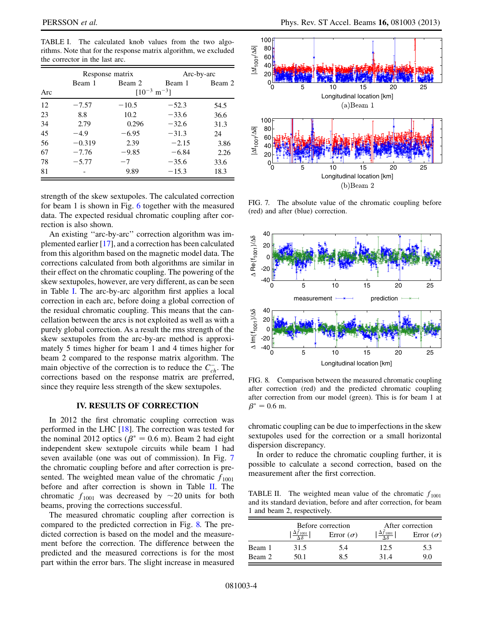$-7.76$   $-9$ <br> $-5.77$   $-7$ 

 $-5.77$   $-7$ <br>- 9.89

81 - 9.89 -

67

 $\frac{78}{81}$ 

| TRIMIS. TOUR that for the response matrix argorithm, we excluded<br>the corrector in the last arc. |                            |         |            |        |  |  |  |  |
|----------------------------------------------------------------------------------------------------|----------------------------|---------|------------|--------|--|--|--|--|
|                                                                                                    | Response matrix            |         | Arc-by-arc |        |  |  |  |  |
|                                                                                                    | Beam 1                     | Beam 2  | Beam 1     | Beam 2 |  |  |  |  |
| Arc                                                                                                | $[10^{-3} \text{ m}^{-3}]$ |         |            |        |  |  |  |  |
| 12                                                                                                 | $-7.57$                    | $-10.5$ | $-52.3$    | 54.5   |  |  |  |  |
| 23                                                                                                 | 8.8                        | 10.2    | $-33.6$    | 36.6   |  |  |  |  |
| 34                                                                                                 | 2.79                       | 0.296   | $-32.6$    | 31.3   |  |  |  |  |
| 45                                                                                                 | $-4.9$                     | $-6.95$ | $-31.3$    | 24     |  |  |  |  |
| 56                                                                                                 | $-0.319$                   | 2.39    | $-2.15$    | 3.86   |  |  |  |  |

 $-9.85$ 

 $7$  -

 $-6.84$  2.26

 $-35.6$  33.6

 $-15.3$  18.3

<span id="page-3-0"></span>TABLE I. The calculated knob values from the two algorithms. Note that for the response matrix algorithm, we excluded

strength of the skew sextupoles. The calculated correction for beam 1 is shown in Fig. [6](#page-2-2) together with the measured data. The expected residual chromatic coupling after correction is also shown.

An existing ''arc-by-arc'' correction algorithm was implemented earlier [[17](#page-4-15)], and a correction has been calculated from this algorithm based on the magnetic model data. The corrections calculated from both algorithms are similar in their effect on the chromatic coupling. The powering of the skew sextupoles, however, are very different, as can be seen in Table [I.](#page-3-0) The arc-by-arc algorithm first applies a local correction in each arc, before doing a global correction of the residual chromatic coupling. This means that the cancellation between the arcs is not exploited as well as with a purely global correction. As a result the rms strength of the skew sextupoles from the arc-by-arc method is approximately 5 times higher for beam 1 and 4 times higher for beam 2 compared to the response matrix algorithm. The main objective of the correction is to reduce the  $C_{ch}^-$ . The corrections based on the response matrix are preferred, since they require less strength of the skew sextupoles.

### IV. RESULTS OF CORRECTION

In 2012 the first chromatic coupling correction was performed in the LHC [\[18\]](#page-4-16). The correction was tested for the nominal 2012 optics ( $\beta^* = 0.6$  m). Beam 2 had eight independent skew sextupole circuits while beam 1 had seven available (one was out of commission). In Fig. [7](#page-3-1) the chromatic coupling before and after correction is presented. The weighted mean value of the chromatic  $f_{1001}$ before and after correction is shown in Table [II.](#page-3-2) The chromatic  $f_{1001}$  was decreased by  $\sim$ 20 units for both beams, proving the corrections successful.

The measured chromatic coupling after correction is compared to the predicted correction in Fig. [8.](#page-3-3) The predicted correction is based on the model and the measurement before the correction. The difference between the predicted and the measured corrections is for the most part within the error bars. The slight increase in measured

<span id="page-3-1"></span>

FIG. 7. The absolute value of the chromatic coupling before (red) and after (blue) correction.

<span id="page-3-3"></span>

FIG. 8. Comparison between the measured chromatic coupling after correction (red) and the predicted chromatic coupling after correction from our model (green). This is for beam 1 at  $\beta^* = 0.6$  m.

chromatic coupling can be due to imperfections in the skew sextupoles used for the correction or a small horizontal dispersion discrepancy.

In order to reduce the chromatic coupling further, it is possible to calculate a second correction, based on the measurement after the first correction.

<span id="page-3-2"></span>TABLE II. The weighted mean value of the chromatic  $f_{1001}$ and its standard deviation, before and after correction, for beam 1 and beam 2, respectively.

|        | Before correction |                  | After correction |                  |
|--------|-------------------|------------------|------------------|------------------|
|        |                   | Error $(\sigma)$ | $\Delta J$ 1001  | Error $(\sigma)$ |
| Beam 1 | 31.5              | 5.4              | 12.5             | 5.3              |
| Beam 2 | 50.1              | 85               | 31.4             | 90               |